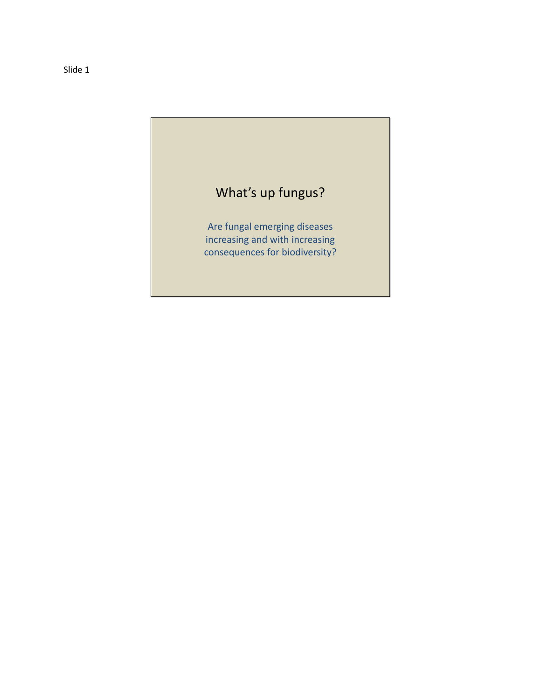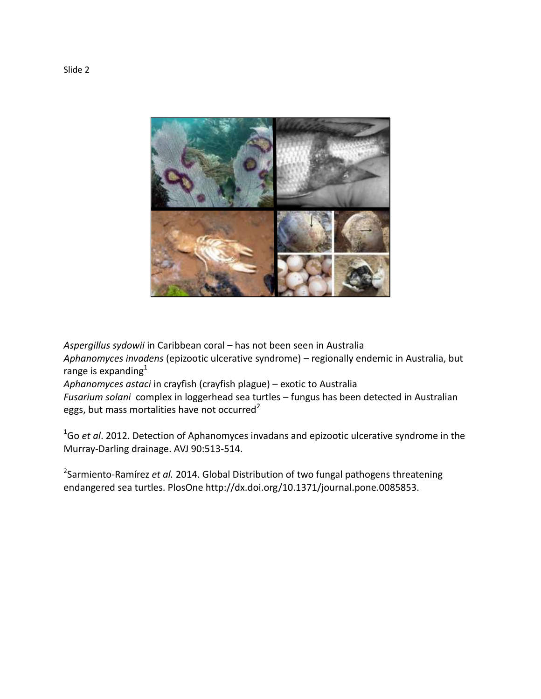

*Aspergillus sydowii* in Caribbean coral – has not been seen in Australia *Aphanomyces invadens* (epizootic ulcerative syndrome) – regionally endemic in Australia, but range is expanding $1$ 

*Aphanomyces astaci* in crayfish (crayfish plague) – exotic to Australia

*Fusarium solani* complex in loggerhead sea turtles – fungus has been detected in Australian eggs, but mass mortalities have not occurred<sup>2</sup>

<sup>1</sup>Go *et al*. 2012. Detection of Aphanomyces invadans and epizootic ulcerative syndrome in the Murray-Darling drainage. AVJ 90:513-514.

2 Sarmiento-Ramírez *et al.* 2014. Global Distribution of two fungal pathogens threatening endangered sea turtles. PlosOne http://dx.doi.org/10.1371/journal.pone.0085853.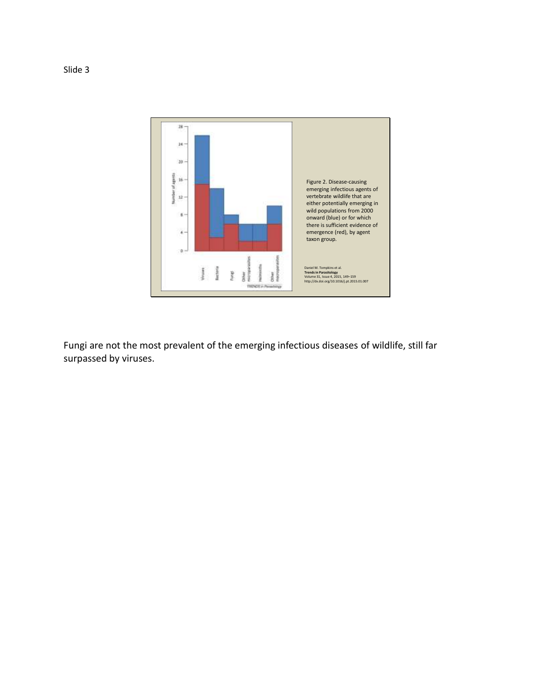

Fungi are not the most prevalent of the emerging infectious diseases of wildlife, still far surpassed by viruses.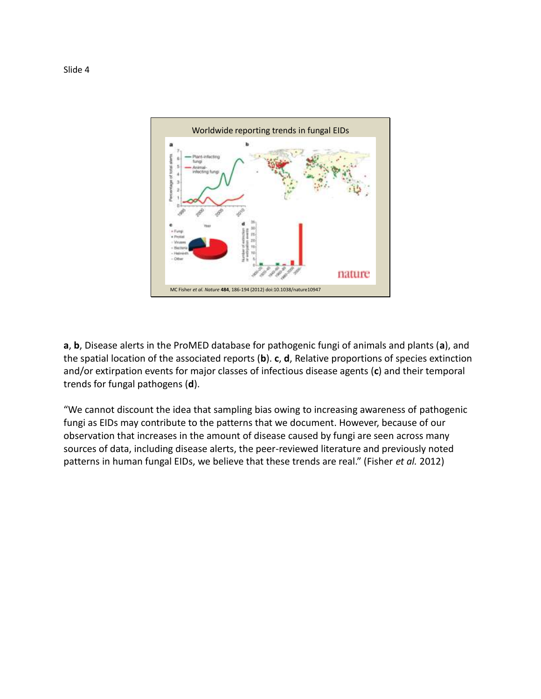

**a**, **b**, Disease alerts in the ProMED database for pathogenic fungi of animals and plants (**a**), and the spatial location of the associated reports (**b**). **c**, **d**, Relative proportions of species extinction and/or extirpation events for major classes of infectious disease agents (**c**) and their temporal trends for fungal pathogens (**d**).

"We cannot discount the idea that sampling bias owing to increasing awareness of pathogenic fungi as EIDs may contribute to the patterns that we document. However, because of our observation that increases in the amount of disease caused by fungi are seen across many sources of data, including disease alerts, the peer-reviewed literature and previously noted patterns in human fungal EIDs, we believe that these trends are real." (Fisher *et al.* 2012)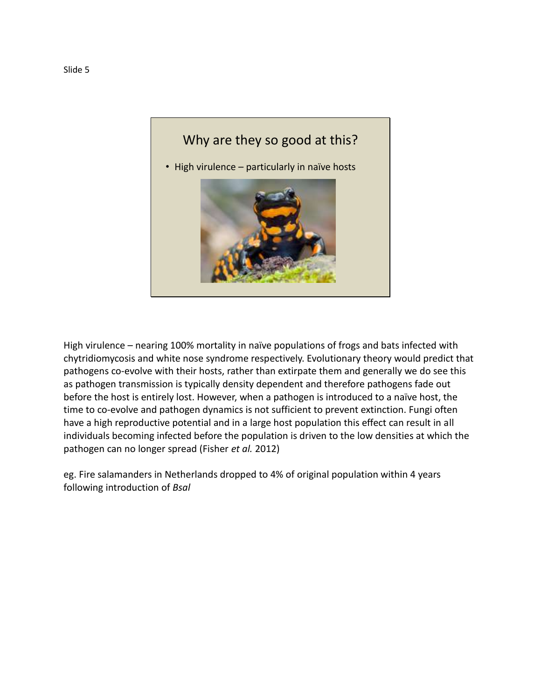

High virulence – nearing 100% mortality in naïve populations of frogs and bats infected with chytridiomycosis and white nose syndrome respectively. Evolutionary theory would predict that pathogens co-evolve with their hosts, rather than extirpate them and generally we do see this as pathogen transmission is typically density dependent and therefore pathogens fade out before the host is entirely lost. However, when a pathogen is introduced to a naïve host, the time to co-evolve and pathogen dynamics is not sufficient to prevent extinction. Fungi often have a high reproductive potential and in a large host population this effect can result in all individuals becoming infected before the population is driven to the low densities at which the pathogen can no longer spread (Fisher *et al.* 2012)

eg. Fire salamanders in Netherlands dropped to 4% of original population within 4 years following introduction of *Bsal*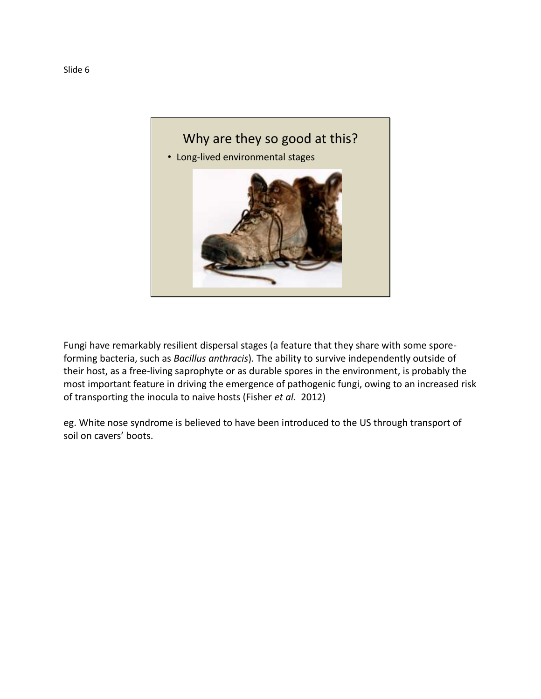

Fungi have remarkably resilient dispersal stages (a feature that they share with some sporeforming bacteria, such as *Bacillus anthracis*). The ability to survive independently outside of their host, as a free-living saprophyte or as durable spores in the environment, is probably the most important feature in driving the emergence of pathogenic fungi, owing to an increased risk of transporting the inocula to naive hosts (Fisher *et al.* 2012)

eg. White nose syndrome is believed to have been introduced to the US through transport of soil on cavers' boots.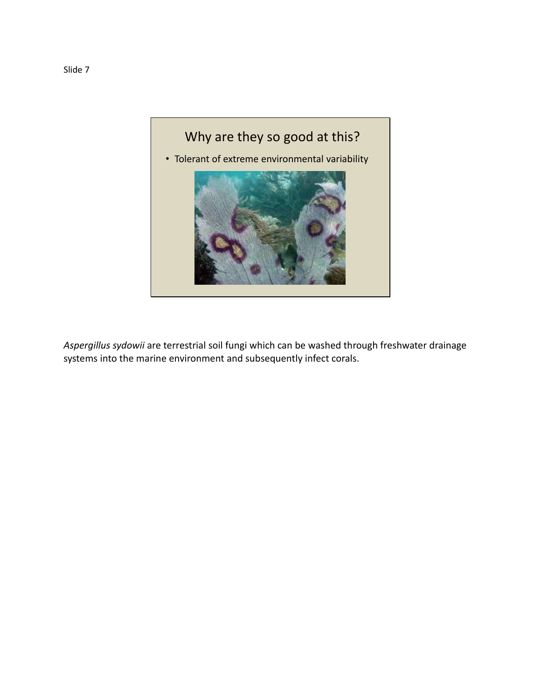

*Aspergillus sydowii* are terrestrial soil fungi which can be washed through freshwater drainage systems into the marine environment and subsequently infect corals.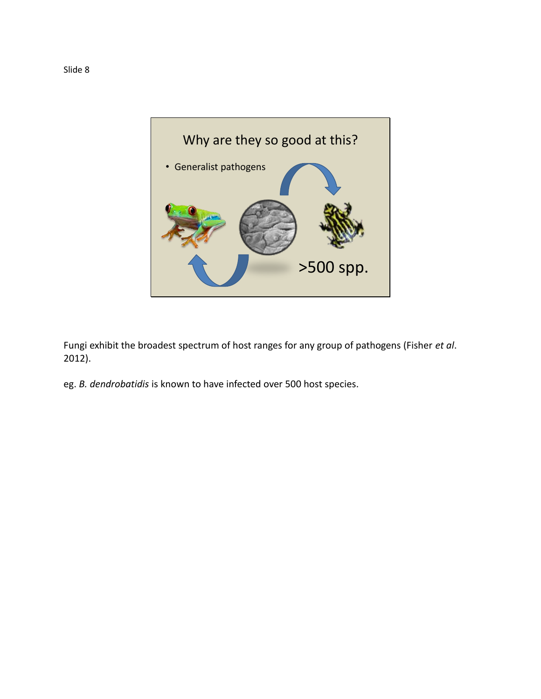

Fungi exhibit the broadest spectrum of host ranges for any group of pathogens (Fisher *et al*. 2012).

eg. *B. dendrobatidis* is known to have infected over 500 host species.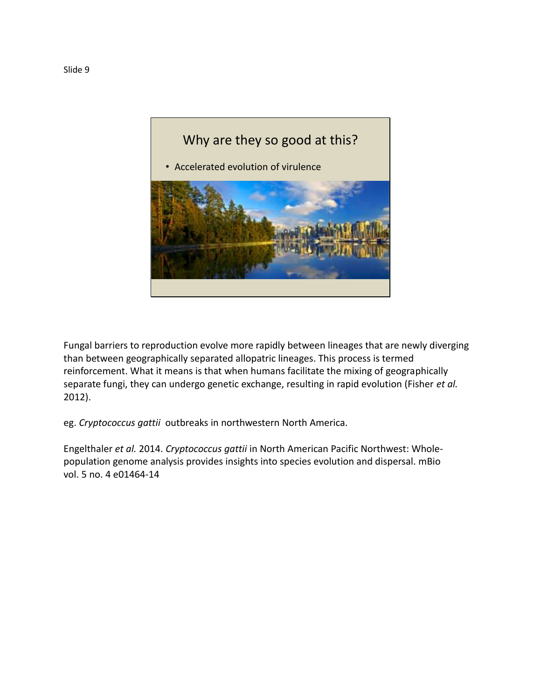

Fungal barriers to reproduction evolve more rapidly between lineages that are newly diverging than between geographically separated allopatric lineages. This process is termed reinforcement. What it means is that when humans facilitate the mixing of geographically separate fungi, they can undergo genetic exchange, resulting in rapid evolution (Fisher *et al.* 2012).

eg. *Cryptococcus gattii* outbreaks in northwestern North America.

Engelthaler *et al.* 2014. *Cryptococcus gattii* in North American Pacific Northwest: Wholepopulation genome analysis provides insights into species evolution and dispersal. mBio vol. 5 no. 4 e01464-14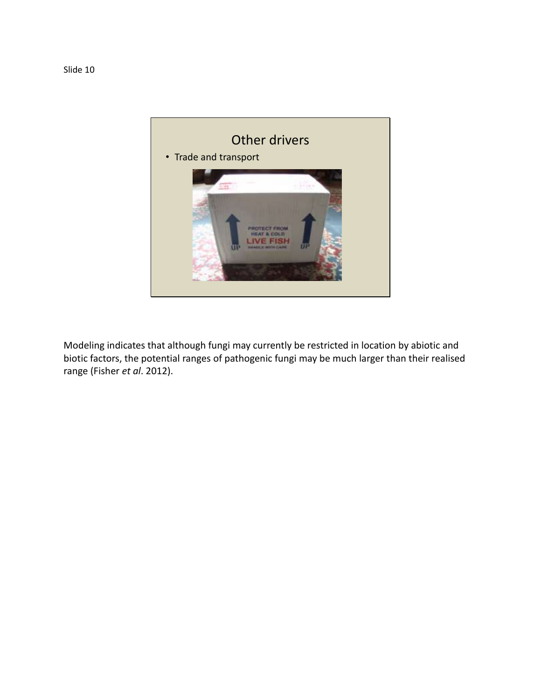

Modeling indicates that although fungi may currently be restricted in location by abiotic and biotic factors, the potential ranges of pathogenic fungi may be much larger than their realised range (Fisher *et al*. 2012).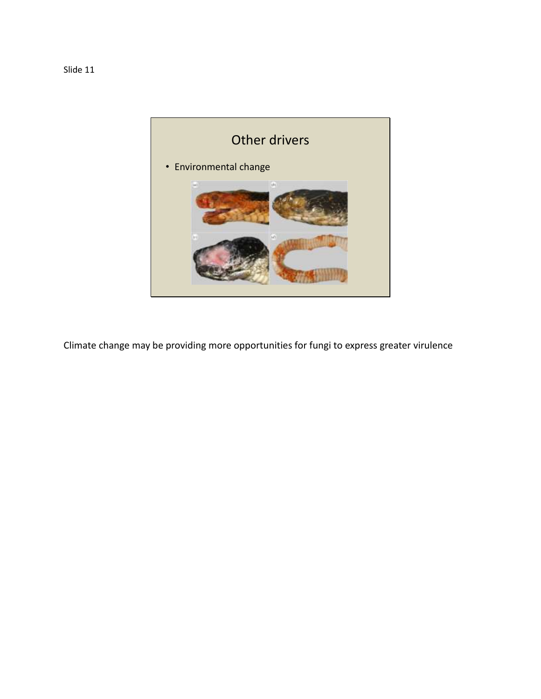

Climate change may be providing more opportunities for fungi to express greater virulence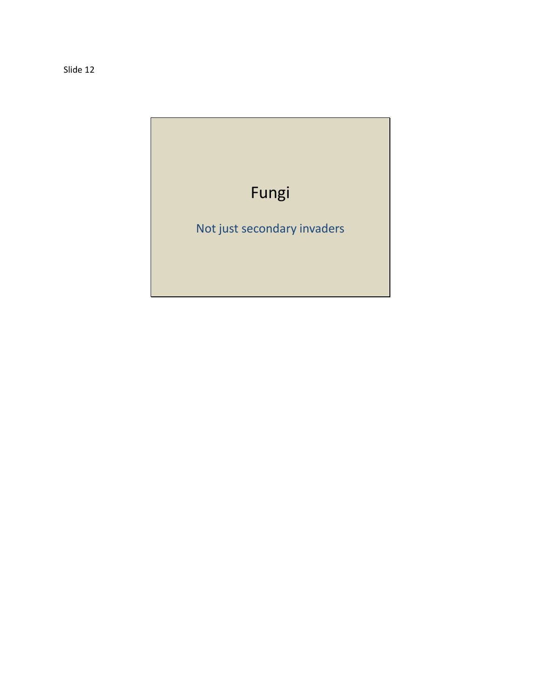Slide 12